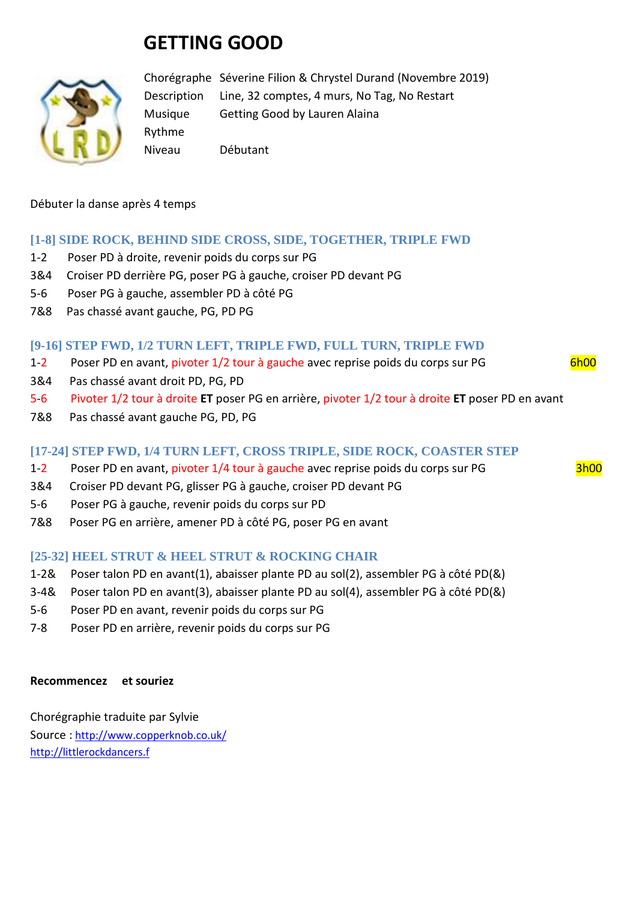# **GETTING GOOD**



Chorégraphe Séverine Filion & Chrystel Durand (Novembre 2019) Description Line, 32 comptes, 4 murs, No Tag, No Restart Musique Getting Good by Lauren Alaina Rythme Niveau Débutant

Débuter la danse après 4 temps

# **[1-8] SIDE ROCK, BEHIND SIDE CROSS, SIDE, TOGETHER, TRIPLE FWD**

- 1-2 Poser PD à droite, revenir poids du corps sur PG
- 3&4 Croiser PD derrière PG, poser PG à gauche, croiser PD devant PG
- 5-6 Poser PG à gauche, assembler PD à côté PG
- 7&8 Pas chassé avant gauche, PG, PD PG

# **[9-16] STEP FWD, 1/2 TURN LEFT, TRIPLE FWD, FULL TURN, TRIPLE FWD**

- 1-2 Poser PD en avant, pivoter 1/2 tour à gauche avec reprise poids du corps sur PG 6h00
- 3&4 Pas chassé avant droit PD, PG, PD
- 5-6 Pivoter 1/2 tour à droite **ET** poser PG en arrière, pivoter 1/2 tour à droite **ET** poser PD en avant
- 7&8 Pas chassé avant gauche PG, PD, PG

# **[17-24] STEP FWD, 1/4 TURN LEFT, CROSS TRIPLE, SIDE ROCK, COASTER STEP**

- 1-2 Poser PD en avant, pivoter 1/4 tour à gauche avec reprise poids du corps sur PG 3h00
- 3&4 Croiser PD devant PG, glisser PG à gauche, croiser PD devant PG
- 5-6 Poser PG à gauche, revenir poids du corps sur PD
- 7&8 Poser PG en arrière, amener PD à côté PG, poser PG en avant

# **[25-32] HEEL STRUT & HEEL STRUT & ROCKING CHAIR**

- 1-2& Poser talon PD en avant(1), abaisser plante PD au sol(2), assembler PG à côté PD(&)
- 3-4& Poser talon PD en avant(3), abaisser plante PD au sol(4), assembler PG à côté PD(&)
- 5-6 Poser PD en avant, revenir poids du corps sur PG
- 7-8 Poser PD en arrière, revenir poids du corps sur PG

#### **Recommencez et souriez**

Chorégraphie traduite par Sylvie Source : [http://www.copperknob.co.uk/](https://www.copperknob.co.uk/)  http://littlerockdancers.f